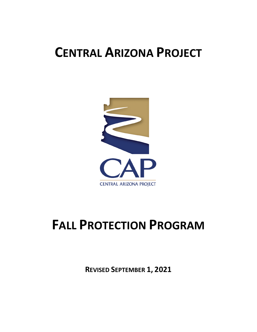## **CENTRAL ARIZONA PROJECT**



# **FALL PROTECTION PROGRAM**

**REVISED SEPTEMBER 1, 2021**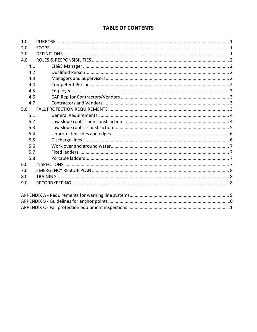#### **TABLE OF CONTENTS**

| 1.0 |  |
|-----|--|
| 2.0 |  |
| 3.0 |  |
| 4.0 |  |
| 4.1 |  |
| 4.2 |  |
| 4.3 |  |
| 4.4 |  |
| 4.5 |  |
| 4.6 |  |
| 4.7 |  |
| 5.0 |  |
| 5.1 |  |
| 5.2 |  |
| 5.3 |  |
| 5.4 |  |
| 5.5 |  |
| 5.6 |  |
| 5.7 |  |
| 5.8 |  |
| 6.0 |  |
| 7.0 |  |
| 8.0 |  |
| 9.0 |  |
|     |  |
|     |  |
|     |  |
|     |  |
|     |  |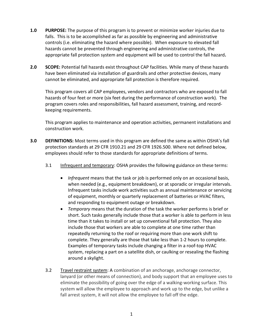- **1.0 PURPOSE:** The purpose of this program is to prevent or minimize worker injuries due to falls. This is to be accomplished as far as possible by engineering and administrative controls (i.e. eliminating the hazard where possible). When exposure to elevated fall hazards cannot be prevented through engineering and administrative controls, the appropriate fall protection system and equipment will be used to control the fall hazard**.**
- **2.0 SCOPE:** Potential fall hazards exist throughout CAP facilities. While many of these hazards have been eliminated via installation of guardrails and other protective devices, many cannot be eliminated, and appropriate fall protection is therefore required.

This program covers all CAP employees, vendors and contractors who are exposed to fall hazards of four feet or more (six feet during the performance of construction work). The program covers roles and responsibilities, fall hazard assessment, training, and recordkeeping requirements.

This program applies to maintenance and operation activities, permanent installations and construction work.

- **3.0 DEFINITIONS:** Most terms used in this program are defined the same as within OSHA's fall protection standards at 29 CFR 1910.21 and 29 CFR 1926.500. Where not defined below, employees should refer to those standards for appropriate definitions of terms.
	- 3.1 Infrequent and temporary: OSHA provides the following guidance on these terms:
		- *Infrequent* means that the task or job is performed only on an occasional basis, when needed (e.g., equipment breakdown), or at sporadic or irregular intervals. Infrequent tasks include work activities such as annual maintenance or servicing of equipment, monthly or quarterly replacement of batteries or HVAC filters, and responding to equipment outage or breakdown.
		- *Temporary* means that the duration of the task the worker performs is brief or short. Such tasks generally include those that a worker is able to perform in less time than it takes to install or set up conventional fall protection. They also include those that workers are able to complete at one time rather than repeatedly returning to the roof or requiring more than one work shift to complete. They generally are those that take less than 1-2 hours to complete. Examples of temporary tasks include changing a filter in a roof-top HVAC system, replacing a part on a satellite dish, or caulking or resealing the flashing around a skylight.
	- 3.2 Travel restraint system: A combination of an anchorage, anchorage connector, lanyard (or other means of connection), and body support that an employee uses to eliminate the possibility of going over the edge of a walking-working surface. This system will allow the employee to approach and work up to the edge, but unlike a fall arrest system, it will not allow the employee to fall off the edge.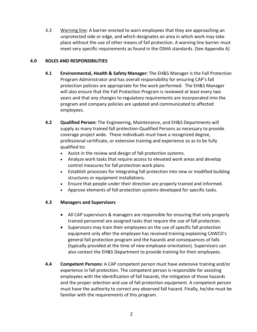3.3 Warning line: A barrier erected to warn employees that they are approaching an unprotected side or edge, and which designates an area in which work may take place without the use of other means of fall protection. A warning line barrier must meet very specific requirements as found in the OSHA standards. (See Appendix A)

#### **4.0 ROLES AND RESPONSIBILITIES**

- **4.1 Environmental, Health & Safety Manager:** The EH&S Manager is the Fall Protection Program Administrator and has overall responsibility for ensuring CAP's fall protection policies are appropriate for the work performed. The EH&S Manager will also ensure that the Fall Protection Program is reviewed at least every two years and that any changes to regulatory requirements are incorporated into the program and company policies are updated and communicated to affected employees.
- **4.2 Qualified Person:** The Engineering, Maintenance, and EH&S Departments will supply as many trained fall protection-Qualified Persons as necessary to provide coverage project wide. These individuals must have a recognized degree, professional certificate, or extensive training and experience so as to be fully qualified to**:**
	- Assist in the review and design of fall protection systems.
	- Analyze work tasks that require access to elevated work areas and develop control measures for fall protection work plans.
	- Establish processes for integrating fall protection into new or modified building structures or equipment installations.
	- Ensure that people under their direction are properly trained and informed.
	- Approve elements of fall protection systems developed for specific tasks.

#### **4.3 Managers and Supervisors**

- All CAP supervisors & managers are responsible for ensuring that only properly trained personnel are assigned tasks that require the use of fall protection.
- Supervisors may train their employees on the use of specific fall protection equipment only after the employee has received training explaining CAWCD's general fall protection program and the hazards and consequences of falls (typically provided at the time of new employee orientation). Supervisors can also contact the EH&S Department to provide training for their employees.
- **4.4 Competent Persons:** A CAP competent person must have extensive training and/or experience in fall protection. The competent person is responsible for assisting employees with the identification of fall hazards, the mitigation of those hazards and the proper selection and use of fall protection equipment. A competent person must have the authority to correct any observed fall hazard. Finally, he/she must be familiar with the requirements of this program.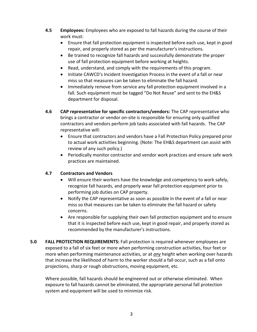- **4.5 Employees:** Employees who are exposed to fall hazards during the course of their work must:
	- Ensure that fall protection equipment is inspected before each use, kept in good repair, and properly stored as per the manufacturer's instructions.
	- Be trained to recognize fall hazards and successfully demonstrate the proper use of fall protection equipment before working at heights.
	- Read, understand, and comply with the requirements of this program.
	- Initiate CAWCD's Incident Investigation Process in the event of a fall or near miss so that measures can be taken to eliminate the fall hazard.
	- Immediately remove from service any fall protection equipment involved in a fall. Such equipment must be tagged "Do Not Reuse" and sent to the EH&S department for disposal.
- **4.6 CAP representative for specific contractors/vendors:** The CAP representative who brings a contractor or vendor on-site is responsible for ensuring only qualified contractors and vendors perform job tasks associated with fall hazards. The CAP representative will:
	- Ensure that contractors and vendors have a Fall Protection Policy prepared prior to actual work activities beginning. (Note: The EH&S department can assist with review of any such policy.)
	- Periodically monitor contractor and vendor work practices and ensure safe work practices are maintained.

#### **4.7 Contractors and Vendors**

- Will ensure their workers have the knowledge and competency to work safely, recognize fall hazards, and properly wear fall protection equipment prior to performing job duties on CAP property.
- Notify the CAP representative as soon as possible in the event of a fall or near miss so that measures can be taken to eliminate the fall hazard or safety concerns.
- Are responsible for supplying their own fall protection equipment and to ensure that it is inspected before each use, kept in good repair, and properly stored as recommended by the manufacturer's instructions.
- **5.0 FALL PROTECTION REQUIREMENTS:** Fall protection is required whenever employees are exposed to a fall of six feet or more when performing construction activities, four feet or more when performing maintenance activities, or at *any* height when working over hazards that increase the likelihood of harm to the worker should a fall occur, such as a fall onto projections, sharp or rough obstructions, moving equipment, etc.

Where possible, fall hazards should be engineered out or otherwise eliminated. When exposure to fall hazards cannot be eliminated, the appropriate personal fall protection system and equipment will be used to minimize risk.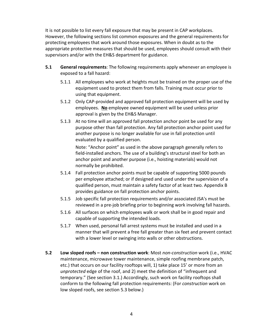It is not possible to list every fall exposure that may be present in CAP workplaces. However, the following sections list common exposures and the general requirements for protecting employees that work around those exposures. When in doubt as to the appropriate protective measures that should be used, employees should consult with their supervisors and/or with the EH&S department for guidance.

- **5.1 General requirements**: The following requirements apply whenever an employee is exposed to a fall hazard:
	- 5.1.1 All employees who work at heights must be trained on the proper use of the equipment used to protect them from falls. Training must occur prior to using that equipment.
	- 5.1.2 Only CAP-provided and approved fall protection equipment will be used by employees. **No** employee owned equipment will be used unless prior approval is given by the EH&S Manager.
	- 5.1.3 At no time will an approved fall protection anchor point be used for any purpose other than fall protection. Any fall protection anchor point used for another purpose is no longer available for use in fall protection until evaluated by a qualified person.

Note: "Anchor point" as used in the above paragraph generally refers to field-installed anchors. The use of a building's structural steel for both an anchor point and another purpose (i.e., hoisting materials) would not normally be prohibited.

- 5.1.4 Fall protection anchor points must be capable of supporting 5000 pounds per employee attached; or if designed and used under the supervision of a qualified person, must maintain a safety factor of at least two. Appendix B provides guidance on fall protection anchor points.
- 5.1.5 Job specific fall protection requirements and/or associated JSA's must be reviewed in a pre-job briefing prior to beginning work involving fall hazards.
- 5.1.6 All surfaces on which employees walk or work shall be in good repair and capable of supporting the intended loads.
- 5.1.7 When used, personal fall arrest systems must be installed and used in a manner that will prevent a free fall greater than six feet and prevent contact with a lower level or swinging into walls or other obstructions.
- **5.2 Low sloped roofs – non construction work**: Most *non-construction* work (i.e., HVAC maintenance, microwave tower maintenance, simple roofing membrane patch, etc.) that occurs on our facility rooftops will, 1) take place 15' or more from an *unprotected* edge of the roof, and 2) meet the definition of "infrequent and temporary." (See section 3.1.) Accordingly, such work on facility rooftops shall conform to the following fall protection requirements: (For *construction* work on low sloped roofs, see section 5.3 below.)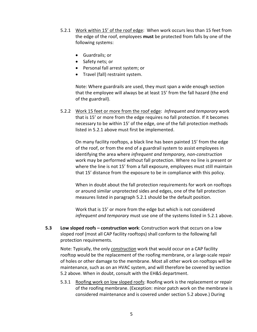- 5.2.1 Work within 15' of the roof edge: When work occurs less than 15 feet from the edge of the roof, employees **must** be protected from falls by one of the following systems:
	- Guardrails; or
	- Safety nets; or
	- Personal fall arrest system; or
	- Travel (fall) restraint system.

Note: Where guardrails are used, they must span a wide enough section that the employee will always be at least 15' from the fall hazard (the end of the guardrail).

5.2.2 Work 15 feet or more from the roof edge: *Infrequent and temporary* work that is 15' or more from the edge requires no fall protection. If it becomes necessary to be within 15' of the edge, one of the fall protection methods listed in 5.2.1 above must first be implemented.

On many facility rooftops, a black line has been painted 15' from the edge of the roof, or from the end of a guardrail system to assist employees in identifying the area where *infrequent and temporary, non-construction* work may be performed without fall protection. Where no line is present or where the line is not 15' from a fall exposure, employees must still maintain that 15' distance from the exposure to be in compliance with this policy.

When in doubt about the fall protection requirements for work on rooftops or around similar unprotected sides and edges, one of the fall protection measures listed in paragraph 5.2.1 should be the default position.

Work that is 15' or more from the edge but which is not considered *infrequent and temporary* must use one of the systems listed in 5.2.1 above.

**5.3 Low sloped roofs – construction work**: Construction work that occurs on a low sloped roof (most all CAP facility rooftops) shall conform to the following fall protection requirements.

Note: Typically, the only *construction* work that would occur on a CAP facility rooftop would be the replacement of the roofing membrane, or a large-scale repair of holes or other damage to the membrane. Most all other work on rooftops will be maintenance, such as on an HVAC system, and will therefore be covered by section 5.2 above. When in doubt, consult with the EH&S department.

5.3.1 Roofing work on low sloped roofs: Roofing work is the replacement or repair of the roofing membrane. (Exception: minor patch work on the membrane is considered maintenance and is covered under section 5.2 above.) During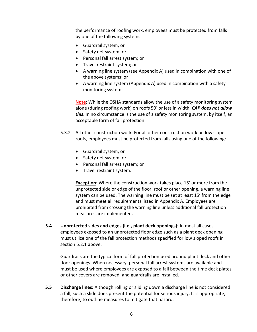the performance of roofing work, employees must be protected from falls by one of the following systems:

- Guardrail system; or
- Safety net system; or
- Personal fall arrest system; or
- Travel restraint system; or
- A warning line system (see Appendix A) used in combination with one of the above systems; or
- A warning line system (Appendix A) used in combination with a safety monitoring system.

**Note**: While the OSHA standards allow the use of a safety monitoring system alone (during roofing work) on roofs 50' or less in width, *CAP does not allow this*. In no circumstance is the use of a safety monitoring system, by itself, an acceptable form of fall protection.

- 5.3.2 All other construction work: For all other construction work on low slope roofs, employees must be protected from falls using one of the following:
	- Guardrail system; or
	- Safety net system; or
	- Personal fall arrest system; or
	- Travel restraint system.

**Exception**: Where the construction work takes place 15' or more from the unprotected side or edge of the floor, roof or other opening, a warning line system can be used. The warning line must be set at least 15' from the edge and must meet all requirements listed in Appendix A. Employees are prohibited from crossing the warning line unless additional fall protection measures are implemented.

**5.4 Unprotected sides and edges (i.e., plant deck openings):** In most all cases, employees exposed to an unprotected floor edge such as a plant deck opening must utilize one of the fall protection methods specified for low sloped roofs in section 5.2.1 above.

Guardrails are the typical form of fall protection used around plant deck and other floor openings. When necessary, personal fall arrest systems are available and must be used where employees are exposed to a fall between the time deck plates or other covers are removed, and guardrails are installed.

**5.5 Discharge lines:** Although rolling or sliding down a discharge line is not considered a fall, such a slide does present the potential for serious injury. It is appropriate, therefore, to outline measures to mitigate that hazard.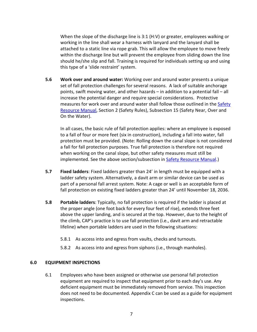When the slope of the discharge line is 3:1 (H:V) or greater, employees walking or working in the line shall wear a harness with lanyard and the lanyard shall be attached to a static line via rope grab. This will allow the employee to move freely within the discharge line but will prevent the employee from sliding down the line should he/she slip and fall. Training is required for individuals setting up and using this type of a 'slide restraint' system.

**5.6 Work over and around water:** Working over and around water presents a unique set of fall protection challenges for several reasons. A lack of suitable anchorage points, swift moving water, and other hazards – in addition to a potential fall – all increase the potential danger and require special considerations. Protective measures for work over and around water shall follow those outlined in the [Safety](http://gecko/livelink/llisapi.dll?func=ll&objId=19103291&objAction=browse&viewType=1)  [Resource Manual,](http://gecko/livelink/llisapi.dll?func=ll&objId=19103291&objAction=browse&viewType=1) Section 2 (Safety Rules), Subsection 15 (Safety Near, Over and On the Water).

In all cases, the basic rule of fall protection applies: where an employee is exposed to a fall of four or more feet (six in construction), including a fall into water, fall protection must be provided. (Note: Rolling down the canal slope is not considered a fall for fall protection purposes. True fall protection is therefore not required when working on the canal slope, but other safety measures must still be implemented. See the above section/subsection in [Safety Resource Manual.](http://gecko/livelink/llisapi.dll?func=ll&objId=19103291&objAction=browse&viewType=1))

- **5.7 Fixed ladders**: Fixed ladders greater than 24' in length must be equipped with a ladder safety system. Alternatively, a davit arm or similar device can be used as part of a personal fall arrest system. Note: A cage or well is an acceptable form of fall protection on existing fixed ladders greater than 24' until November 18, 2036.
- **5.8 Portable ladders**: Typically, no fall protection is required if the ladder is placed at the proper angle (one foot back for every four feet of rise), extends three feet above the upper landing, and is secured at the top. However, due to the height of the climb, CAP's practice is to use fall protection (i.e., davit arm and retractable lifeline) when portable ladders are used in the following situations:
	- 5.8.1 As access into and egress from vaults, checks and turnouts.
	- 5.8.2 As access into and egress from siphons (i.e., through manholes).

#### **6.0 EQUIPMENT INSPECTIONS**

6.1 Employees who have been assigned or otherwise use personal fall protection equipment are required to inspect that equipment prior to each day's use. Any deficient equipment must be immediately removed from service. This inspection does not need to be documented. Appendix C can be used as a guide for equipment inspections.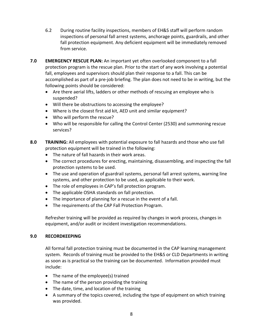- 6.2 During routine facility inspections, members of EH&S staff will perform random inspections of personal fall arrest systems, anchorage points, guardrails, and other fall protection equipment. Any deficient equipment will be immediately removed from service.
- **7.0 EMERGENCY RESCUE PLAN:** An important yet often overlooked component to a fall protection program is the rescue plan. Prior to the start of any work involving a potential fall, employees and supervisors should plan their response to a fall. This can be accomplished as part of a pre-job briefing. The plan does not need to be in writing, but the following points should be considered:
	- Are there aerial lifts, ladders or other methods of rescuing an employee who is suspended?
	- Will there be obstructions to accessing the employee?
	- Where is the closest first aid kit, AED unit and similar equipment?
	- Who will perform the rescue?
	- Who will be responsible for calling the Control Center (2530) and summoning rescue services?
- **8.0 TRAINING:** All employees with potential exposure to fall hazards and those who use fall protection equipment will be trained in the following:
	- The nature of fall hazards in their work areas.
	- The correct procedures for erecting, maintaining, disassembling, and inspecting the fall protection systems to be used.
	- The use and operation of guardrail systems, personal fall arrest systems, warning line systems, and other protection to be used, as applicable to their work.
	- The role of employees in CAP's fall protection program.
	- The applicable OSHA standards on fall protection.
	- The importance of planning for a rescue in the event of a fall.
	- The requirements of the CAP Fall Protection Program.

Refresher training will be provided as required by changes in work process, changes in equipment, and/or audit or incident investigation recommendations.

#### **9.0 RECORDKEEPING**

All formal fall protection training must be documented in the CAP learning management system. Records of training must be provided to the EH&S or CLD Departments in writing as soon as is practical so the training can be documented. Information provided must include:

- The name of the employee(s) trained
- The name of the person providing the training
- The date, time, and location of the training
- A summary of the topics covered, including the type of equipment on which training was provided.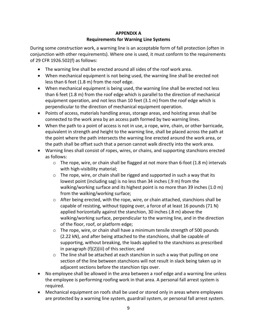### **APPENDIX A**

#### **Requirements for Warning Line Systems**

During some *construction* work, a warning line is an acceptable form of fall protection (often in conjunction with other requirements). Where one is used, it must conform to the requirements of 29 CFR 1926.502(f) as follows:

- The warning line shall be erected around all sides of the roof work area.
- When mechanical equipment is not being used, the warning line shall be erected not less than 6 feet (1.8 m) from the roof edge.
- When mechanical equipment is being used, the warning line shall be erected not less than 6 feet (1.8 m) from the roof edge which is parallel to the direction of mechanical equipment operation, and not less than 10 feet (3.1 m) from the roof edge which is perpendicular to the direction of mechanical equipment operation.
- Points of access, materials handling areas, storage areas, and hoisting areas shall be connected to the work area by an access path formed by two warning lines.
- When the path to a point of access is not in use, a rope, wire, chain, or other barricade, equivalent in strength and height to the warning line, shall be placed across the path at the point where the path intersects the warning line erected around the work area, or the path shall be offset such that a person cannot walk directly into the work area.
- Warning lines shall consist of ropes, wires, or chains, and supporting stanchions erected as follows:
	- $\circ$  The rope, wire, or chain shall be flagged at not more than 6-foot (1.8 m) intervals with high-visibility material;
	- o The rope, wire, or chain shall be rigged and supported in such a way that its lowest point (including sag) is no less than 34 inches (.9 m) from the walking/working surface and its highest point is no more than 39 inches (1.0 m) from the walking/working surface;
	- $\circ$  After being erected, with the rope, wire, or chain attached, stanchions shall be capable of resisting, without tipping over, a force of at least 16 pounds (71 N) applied horizontally against the stanchion, 30 inches (.8 m) above the walking/working surface, perpendicular to the warning line, and in the direction of the floor, roof, or platform edge;
	- o The rope, wire, or chain shall have a minimum tensile strength of 500 pounds (2.22 kN), and after being attached to the stanchions, shall be capable of supporting, without breaking, the loads applied to the stanchions as prescribed in paragraph (f)(2)(iii) of this section; and
	- $\circ$  The line shall be attached at each stanchion in such a way that pulling on one section of the line between stanchions will not result in slack being taken up in adjacent sections before the stanchion tips over.
- No employee shall be allowed in the area between a roof edge and a warning line unless the employee is performing roofing work in that area. A personal fall arrest system is required.
- Mechanical equipment on roofs shall be used or stored only in areas where employees are protected by a warning line system, guardrail system, or personal fall arrest system.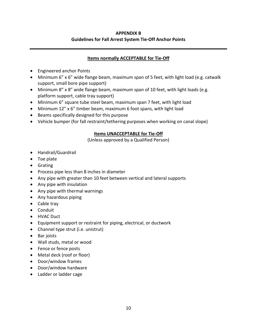#### **APPENDIX B Guidelines for Fall Arrest System Tie-Off Anchor Points**

#### **Items normally ACCEPTABLE for Tie-Off**

- Engineered anchor Points
- Minimum 6" x 6" wide flange beam, maximum span of 5 feet, with light load (e.g. catwalk support, small bore pipe support)
- Minimum 8" x 8" wide flange beam, maximum span of 10 feet, with light loads (e.g. platform support, cable tray support)
- Minimum 6" square tube steel beam, maximum span 7 feet, with light load
- Minimum 12" x 6" timber beam, maximum 6 foot spans, with light load
- Beams specifically designed for this purpose
- Vehicle bumper (for fall restraint/tethering purposes when working on canal slope)

#### **Items UNACCEPTABLE for Tie-Off**

(Unless approved by a Qualified Person)

- Handrail/Guardrail
- Toe plate
- Grating
- Process pipe less than 8 inches in diameter
- Any pipe with greater than 10 feet between vertical and lateral supports
- Any pipe with insulation
- Any pipe with thermal warnings
- Any hazardous piping
- Cable tray
- Conduit
- HVAC Duct
- Equipment support or restraint for piping, electrical, or ductwork
- Channel type strut (i.e. unistrut)
- Bar joists
- Wall studs, metal or wood
- Fence or fence posts
- Metal deck (roof or floor)
- Door/window frames
- Door/window hardware
- Ladder or ladder cage